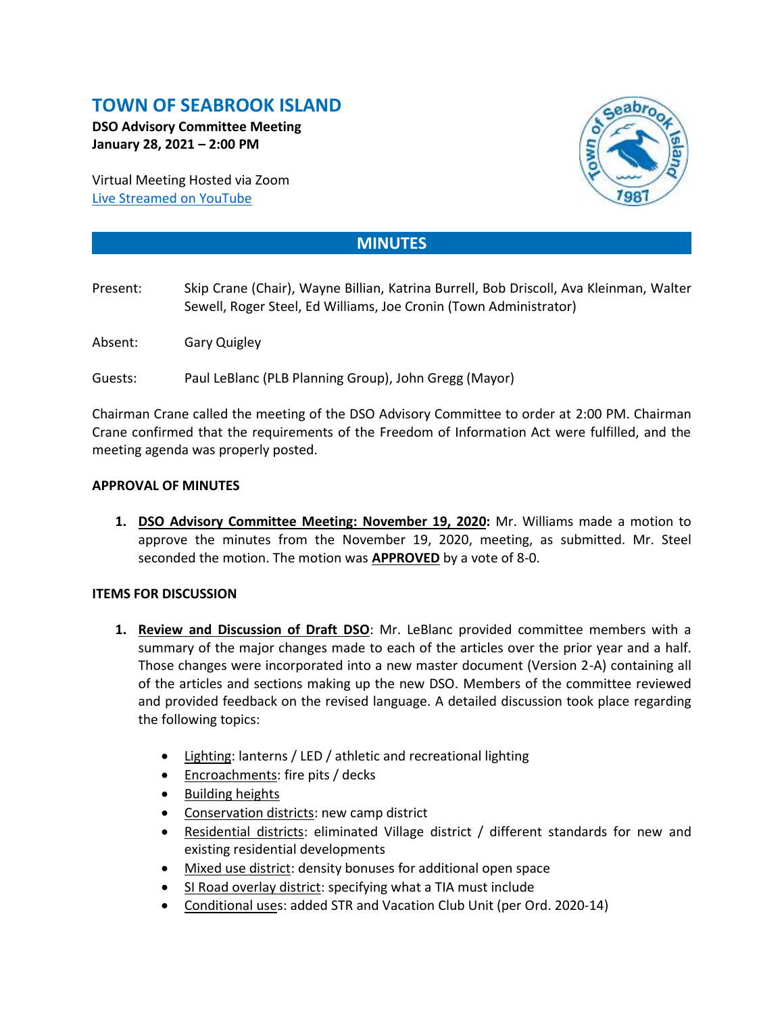# **TOWN OF SEABROOK ISLAND**

**DSO Advisory Committee Meeting January 28, 2021 – 2:00 PM**

Virtual Meeting Hosted via Zoom [Live Streamed on](https://www.youtube.com/channel/UCIkF87knEApHD1q0kGlaGZg) YouTube



## **MINUTES**

- Present: Skip Crane (Chair), Wayne Billian, Katrina Burrell, Bob Driscoll, Ava Kleinman, Walter Sewell, Roger Steel, Ed Williams, Joe Cronin (Town Administrator)
- Absent: Gary Quigley
- Guests: Paul LeBlanc (PLB Planning Group), John Gregg (Mayor)

Chairman Crane called the meeting of the DSO Advisory Committee to order at 2:00 PM. Chairman Crane confirmed that the requirements of the Freedom of Information Act were fulfilled, and the meeting agenda was properly posted.

### **APPROVAL OF MINUTES**

**1. DSO Advisory Committee Meeting: November 19, 2020:** Mr. Williams made a motion to approve the minutes from the November 19, 2020, meeting, as submitted. Mr. Steel seconded the motion. The motion was **APPROVED** by a vote of 8-0.

#### **ITEMS FOR DISCUSSION**

- **1. Review and Discussion of Draft DSO**: Mr. LeBlanc provided committee members with a summary of the major changes made to each of the articles over the prior year and a half. Those changes were incorporated into a new master document (Version 2-A) containing all of the articles and sections making up the new DSO. Members of the committee reviewed and provided feedback on the revised language. A detailed discussion took place regarding the following topics:
	- Lighting: lanterns / LED / athletic and recreational lighting
	- Encroachments: fire pits / decks
	- Building heights
	- Conservation districts: new camp district
	- Residential districts: eliminated Village district / different standards for new and existing residential developments
	- Mixed use district: density bonuses for additional open space
	- SI Road overlay district: specifying what a TIA must include
	- Conditional uses: added STR and Vacation Club Unit (per Ord. 2020-14)